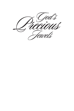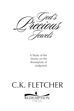A Study of the Stones on the **Breastplate of** Judgment

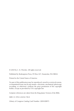© 2010 by C. K. Fletcher. All rights reserved.

Published by Redemption Press, PO Box 427, Enumclaw, WA 98022.

Printed in the United States of America

No part of this publication may be reproduced, stored in a retrieval system, or transmitted in any way by any means—electronic, mechanical, photocopy, recording, or otherwise—without the prior permission of the copyright holder, except as provided by USA copyright law.

Scripture references are taken from the King James Version of the Bible.

ISBN 13: 978-1-63232-739-0

Library of Congress Catalog Card Number: 2004100875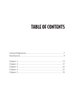# **TABLE OF CONTENTS**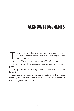## ACKNOWLEDGEMENTS

To my heavenly Father who continuously reminds me that,<br>
"... the testimony of the Lord is sure, making wise the<br>
simple." (Psalm 19:7)<br>
To my earthly father who lives a life of faith before me ". . . the testimony of the Lord is sure, making wise the simple." (Psalm 19:7)

To my earthly father, who lives a life of faith before me.

To my siblings, who always encourage me and are so, so supportive.

To my husband, who is my friend, my confidant, and my best critic.

And also to my pastors and Sunday School teacher, whose teachings and spiritual guidance have been very instrumental in the development of this book.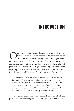## INTRODUCTION

The of our Sunday school lessons involved studying the tabernacle of the Old Testament and its properties. A part of that lesson included the high priest and his garments.<br>Our Sunday school teacher asked us to pick an item tabernacle of the Old Testament and its properties. A part of that lesson included the high priest and his garments. Our Sunday school teacher asked us to pick an item, do research, and present our findings to the class. I chose the breastplate of judgment. In Exodus 28, God gave Moses explicit instructions regarding how the breastplate should be made, who should wear it, and why it should be worn. God told Moses in Exodus 28:29:

*And Aaron shall bear the names of the children of Israel in the breastplate of judgment upon his heart, when he goeth in unto the holy place, for a memorial before the Lord continually . . . and you shall put settings of stones in it, four rows of stones . . . and the stones shall have the names of the sons of Israel . . . each one with its own name; they shall be according to the twelve tribes.*

Three things about this verse intrigued me. First of all, the phrase, *breastplate of judgment*. Secondly, the word *memorial*: what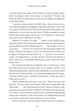was there about the names of the children of Israel and the breastplate of judgment that God wanted to remember? Thirdly, why did God want the high priest to wear the breastplate of judgment in the Holy Place?

I was also curious about the Holy Place, where Aaron was to wear this breastplate of judgment; what does that have to do with me today? I found that the Old Testament reveals that Aaron, the high priest, was to enter into the Holy of Holies annually to atone for the sins of the people. But in the New Testament, Christ Jesus ushered in a new and better covenant.

Hebrews 9 reveals to us that *. . . neither by the blood of goats and calves, but by his own blood he entered in once into the holy place having obtained eternal redemption for us. . . .* That chapter went on to say that . . . "*Christ is not entered into the holy places made with hands, which are the figures of the true; but into heaven itself, now to appear in the presence of God for us. . . . By now I was excited!* Christ, our High Priest, is in the presence of God (the holiest of holy), and He is continually bearing our names upon His heart before God.

My research then led me to Malachi 3:16–17 which says: *"Then they that feared the Lord spake often one to another: and the Lord hearkened; and heard it, and a book of remembrance was written before Him for them that feared the Lord, and that thought upon His name. 'And they shall be mine,' said the Lord of Hosts, 'in that day when I make up my jewels."*

While reading this my heart cried out, "When You say seek My face, Thy face will I seek. Father, what did it mean when the Word said, "*. . . they that feared the Lord"?* And my Father in His gracious mercy answered me. Webster's dictionary says fear means to *reverence*. And reverence means to have a profound and adoring respect for someone, to the point where you deliberately posture your heart to seek one's favor and bow to one's wishes.

When I read this, my heart almost burst from the revelation I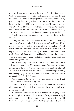#### Introduction

received. It gave me a glimpse of the heart of God. In this verse our God was sending us a love note! His heart was touched by the fact that there were those of His people who feared (reverenced) Him, gathered together, thought about Him, and spoke about Him. The Lord heard this, and His heart was made glad. He wanted to memorialize the fact that there were those who demonstrated love for Him, freely and without prompting. His heart spontaneously said, "*they shall be mine . . . in that day when I make up my jewels."*

I believe *that day* God spoke of are the perilous times we live in now.

I began to write the narrative of this study on September 11, 2001. I worked the night shift at that time and had been off the night before. I rose early on the morning of September  $11<sup>th</sup>$  and spent some time with the Lord and then sat at the computer and began to write. I wrote all morning until about 12:00 noon when my husband called and asked if I had heard the news. I didn't know what was going on, because I didn't have the television on. I was communing with God.

God's heart rang out to me in Isaiah 62:1–3: "*For Zion's sake I will not hold my peace, and for Jerusalem's sake I will not rest, until the righteousness thereof go forth as brightness, and the salvation thereof as a lamp that burneth. And the Gentiles shall see thy righteousness, and all kings thy glory: and thou shalt be called by a new name, which the mouth of the Lord shall name.*

"*Thou shalt also be a crown of glory in the hand of the Lord, and a royal diadem in the hand of thy God.*"

I had asked the Lord, "Father, what is a *diadem*?" Webster's dictionary states that a diadem is a crown of royalty exemplifying power and dignity.

Our Father is saying in these verses that He was not going to *rest* until the righteousness and the salvation of His people—His royal priesthood that exemplified His might, power and dignity—would burn like the brightness of a lamp for the world to see! Can you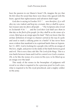hear the passion in our Master's heart? Oh, imagine the joy that He felt when He noted that there were those who agreed with His heart, agreed that righteousness and salvation shall reign!

God also is saying in Exodus 19:5 *". . . now therefore, if ye will obey my voice indeed, and keep my covenant, then ye shall be a peculiar treasure unto me above all people . . ."* The Scriptures also reveal in Zechariah 9:16: "*. . . and the Lord their God shall save them in that day as the flock of his people: for they shall be as the stones of a crown, lifted up as an ensign upon his land."* Did you know that the archaic definition of *ensign* is a banner carried at the top of a pole and used to mark a rallying point in a battle? It has never been more evident that mankind is in a spiritual battle than on September 11, 2001. God is looking for a people who will be an ensign of His love, might, and power in the midst of the battle between good and evil. This is not a fairy tale like *The Lord of the Rings*. This is a true battle between Satan and God for control over God's creation. Oh, to be like the stones of a crown in His eyes; to be lifted up as an ensign over His land!

This study of the stones in the breastplate of judgment will reveal to us what is required to be a precious jewel in God's eyes, what is required to be His royal priesthood, and a mighty soldier in His army.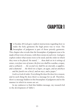### CHAPTER 1

 $\prod_{\text{This}}$ n Exodus 28 God gave explicit instructions regarding how to make the holy garments the high priest was to wear. The **L** breastplate of judgment is part of those priestly garments. This chapter also reveals that the breastplate of judgment was to be made of four rows of stones, with three stones in each row. God gave explicit orders what stones were to be used; and the order in which they were to be placed. He stated, "*. . . thou shalt set in it settings of stones, even four rows of stones: the first row shall be a sardius, a topaz, and a carbuncle . . . the second row shall be an emerald, a sapphire, and a diamond . . . the third row a liqure, an agate, and an amethyst . . . and the fourth row a beryl, and an onyx, and a jasper."*

God is a God of order. Everything He does He does for a reason; and in each thing He does there's a message for us all. Therefore, there's a message hidden in this breastplate of judgment and in the manner in which its stones are set.

In my endeavor to find this hidden message, my research led to the development of Table I.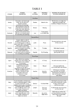### **TABLE I**

| <b>STONES</b> | <b>STONE'S</b><br><b>PROPERTIES</b>                                                                                                                                | SON<br>OF ISRAEL | <b>MEANING</b><br>OF NAME         | <b>BLESSING OF JACOB ON</b><br>HIS SONS (GENESIS 49)                                                                          |
|---------------|--------------------------------------------------------------------------------------------------------------------------------------------------------------------|------------------|-----------------------------------|-------------------------------------------------------------------------------------------------------------------------------|
|               |                                                                                                                                                                    | <b>First Row</b> |                                   |                                                                                                                               |
| Sardius       | Corundum; red, hard tough<br>stone, can be used as an<br>abrasive (used for<br>smoothing and polishing)                                                            | Reuben           | Behold a Son                      | My first born, my might, the<br>beginning of strength, the<br>excellency of dignity and power                                 |
| Topaz         | Salt of aluminum which has<br>good electrical and thermal<br>conductivity, high reflectivity<br>and resistive to oxidation                                         | Simeon           | Hearing                           |                                                                                                                               |
| Carbuncle     | A garnet, red, precious stone<br>that also is an abrasive (used<br>for smoothing and polishing)                                                                    | Levi             | To be joined<br>to; to abide with |                                                                                                                               |
|               |                                                                                                                                                                    | Second Row       |                                   |                                                                                                                               |
| Emerald       | A beryl, which is a salt of<br>beryllium and aluminum used<br>as a hardening agent in alloy (a<br>metal mixed with a more valuable<br>metal to give it durability) | ludah            | Praise                            | Thy hand shall be in the neck<br>of thine enemies                                                                             |
| Sapphire      | A corundum; massive crystal<br>used as an abrasive (smoothing<br>and polishing agent)                                                                              | Dan              | To Judge                          | Shall judge his people                                                                                                        |
| Diamond       | One of the hardest stones<br>in the world; used as an abrasive<br>for smoothing and polishing                                                                      | Naphtali         | My Wrestling                      | Is a hind let loose; he<br>giveth goodly words                                                                                |
|               |                                                                                                                                                                    | <b>Third Row</b> |                                   |                                                                                                                               |
| Ligure        | Also called zircon; precious<br>orange stone used in alloys, has<br>the capacity to be resistant<br>to corrosion                                                   | Gad              | A Troop                           | He shall overcome at the last                                                                                                 |
| Agate         | Fine grained transparent<br>crystal (A Quartz) used in<br>industry to set right a<br>frequency or keep it on course                                                | Asher            | Blessed                           | His bread shall be fat,<br>and he shall yield royal dainties                                                                  |
| Amethyst      | Purple crystalized quartz,<br>used as an abrasive as well<br>as an agent used to set<br>a frequency or keep<br>it on course                                        | Issachar         | Hired for<br>Payment              | A Strong ass crouching<br>down between two burdens.<br>And bowed his shoulder to<br>bear and became a servant<br>unto tribute |
|               |                                                                                                                                                                    | Fourth Row       |                                   |                                                                                                                               |
| Beryl         | A salt of beryllium and aluminum<br>used as a hardening agent in alloy<br>(a metal mixed with a more<br>valuable metal to give it durability)                      | Zebulun          | To Dwell With                     | Shall dwell at the haven of the<br>sea; and he shall be for a haven<br>of ships; and his border<br>shall be unto zidon        |
| Onyx          | Translucent quartz in parallel<br>layers of different colors; used<br>to set right a frequency or<br>keep it on course                                             | <b>loseph</b>    | The Lord<br>Shall Add             | Fruitful bough whose branches<br>run over the wall                                                                            |
| Jasper        | Translucent quartz of many<br>colors, especially green: used<br>to set right a frequency or<br>keep it on course                                                   | Benjamin         | Son of the<br>Right Hand          | Shall ravin as a wolf in the<br>morning shall devour the prey<br>and at night he shall divide<br>the spoil                    |